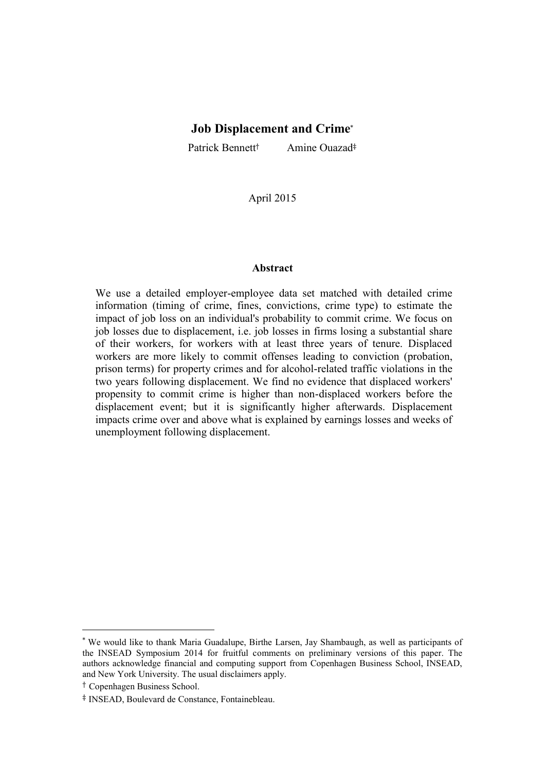# **Job Displacement and Crime**\*

Patrick Bennett<sup>†</sup> Amine Ouazad<sup>‡</sup>

April 2015

### **Abstract**

We use a detailed employer-employee data set matched with detailed crime information (timing of crime, fines, convictions, crime type) to estimate the impact of job loss on an individual's probability to commit crime. We focus on job losses due to displacement, i.e. job losses in firms losing a substantial share of their workers, for workers with at least three years of tenure. Displaced workers are more likely to commit offenses leading to conviction (probation, prison terms) for property crimes and for alcohol-related traffic violations in the two years following displacement. We find no evidence that displaced workers' propensity to commit crime is higher than non-displaced workers before the displacement event; but it is significantly higher afterwards. Displacement impacts crime over and above what is explained by earnings losses and weeks of unemployment following displacement.

<sup>\*</sup> We would like to thank Maria Guadalupe, Birthe Larsen, Jay Shambaugh, as well as participants of the INSEAD Symposium 2014 for fruitful comments on preliminary versions of this paper. The authors acknowledge financial and computing support from Copenhagen Business School, INSEAD, and New York University. The usual disclaimers apply.

<sup>†</sup> Copenhagen Business School.

<sup>‡</sup> INSEAD, Boulevard de Constance, Fontainebleau.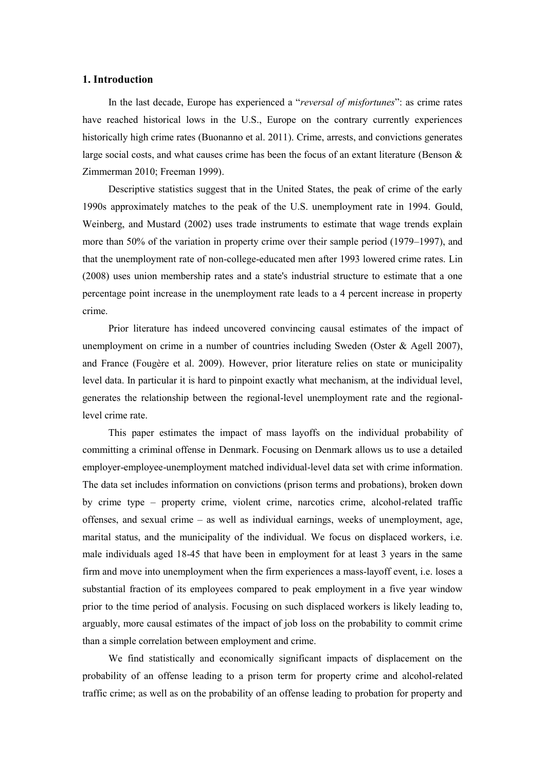## **1. Introduction**

In the last decade, Europe has experienced a "*reversal of misfortunes*": as crime rates have reached historical lows in the U.S., Europe on the contrary currently experiences historically high crime rates (Buonanno et al. 2011). Crime, arrests, and convictions generates large social costs, and what causes crime has been the focus of an extant literature (Benson  $\&$ Zimmerman 2010; Freeman 1999).

Descriptive statistics suggest that in the United States, the peak of crime of the early 1990s approximately matches to the peak of the U.S. unemployment rate in 1994. Gould, Weinberg, and Mustard (2002) uses trade instruments to estimate that wage trends explain more than 50% of the variation in property crime over their sample period (1979–1997), and that the unemployment rate of non-college-educated men after 1993 lowered crime rates. Lin (2008) uses union membership rates and a state's industrial structure to estimate that a one percentage point increase in the unemployment rate leads to a 4 percent increase in property crime.

Prior literature has indeed uncovered convincing causal estimates of the impact of unemployment on crime in a number of countries including Sweden (Oster & Agell 2007), and France (Fougère et al. 2009). However, prior literature relies on state or municipality level data. In particular it is hard to pinpoint exactly what mechanism, at the individual level, generates the relationship between the regional-level unemployment rate and the regionallevel crime rate.

This paper estimates the impact of mass layoffs on the individual probability of committing a criminal offense in Denmark. Focusing on Denmark allows us to use a detailed employer-employee-unemployment matched individual-level data set with crime information. The data set includes information on convictions (prison terms and probations), broken down by crime type – property crime, violent crime, narcotics crime, alcohol-related traffic offenses, and sexual crime – as well as individual earnings, weeks of unemployment, age, marital status, and the municipality of the individual. We focus on displaced workers, i.e. male individuals aged 18-45 that have been in employment for at least 3 years in the same firm and move into unemployment when the firm experiences a mass-layoff event, i.e. loses a substantial fraction of its employees compared to peak employment in a five year window prior to the time period of analysis. Focusing on such displaced workers is likely leading to, arguably, more causal estimates of the impact of job loss on the probability to commit crime than a simple correlation between employment and crime.

We find statistically and economically significant impacts of displacement on the probability of an offense leading to a prison term for property crime and alcohol-related traffic crime; as well as on the probability of an offense leading to probation for property and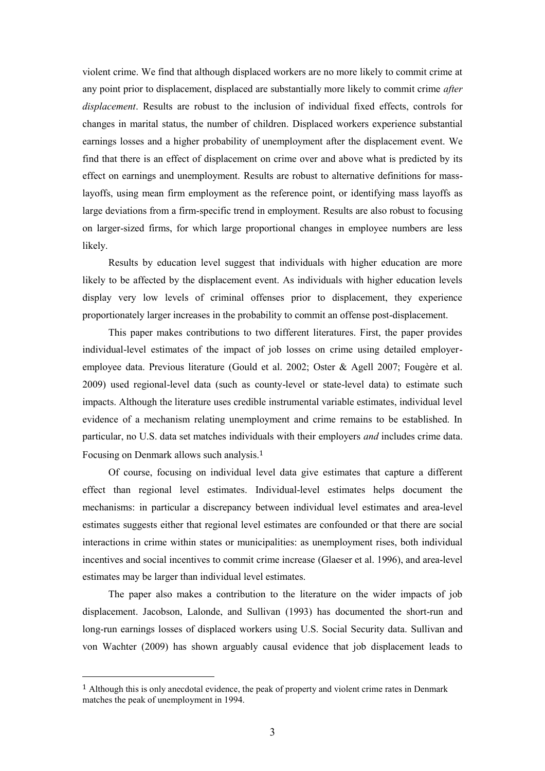violent crime. We find that although displaced workers are no more likely to commit crime at any point prior to displacement, displaced are substantially more likely to commit crime *after displacement*. Results are robust to the inclusion of individual fixed effects, controls for changes in marital status, the number of children. Displaced workers experience substantial earnings losses and a higher probability of unemployment after the displacement event. We find that there is an effect of displacement on crime over and above what is predicted by its effect on earnings and unemployment. Results are robust to alternative definitions for masslayoffs, using mean firm employment as the reference point, or identifying mass layoffs as large deviations from a firm-specific trend in employment. Results are also robust to focusing on larger-sized firms, for which large proportional changes in employee numbers are less likely.

Results by education level suggest that individuals with higher education are more likely to be affected by the displacement event. As individuals with higher education levels display very low levels of criminal offenses prior to displacement, they experience proportionately larger increases in the probability to commit an offense post-displacement.

This paper makes contributions to two different literatures. First, the paper provides individual-level estimates of the impact of job losses on crime using detailed employeremployee data. Previous literature (Gould et al. 2002; Oster & Agell 2007; Fougère et al. 2009) used regional-level data (such as county-level or state-level data) to estimate such impacts. Although the literature uses credible instrumental variable estimates, individual level evidence of a mechanism relating unemployment and crime remains to be established. In particular, no U.S. data set matches individuals with their employers *and* includes crime data. Focusing on Denmark allows such analysis.<sup>1</sup>

Of course, focusing on individual level data give estimates that capture a different effect than regional level estimates. Individual-level estimates helps document the mechanisms: in particular a discrepancy between individual level estimates and area-level estimates suggests either that regional level estimates are confounded or that there are social interactions in crime within states or municipalities: as unemployment rises, both individual incentives and social incentives to commit crime increase (Glaeser et al. 1996), and area-level estimates may be larger than individual level estimates.

The paper also makes a contribution to the literature on the wider impacts of job displacement. Jacobson, Lalonde, and Sullivan (1993) has documented the short-run and long-run earnings losses of displaced workers using U.S. Social Security data. Sullivan and von Wachter (2009) has shown arguably causal evidence that job displacement leads to

<sup>&</sup>lt;sup>1</sup> Although this is only anecdotal evidence, the peak of property and violent crime rates in Denmark matches the peak of unemployment in 1994.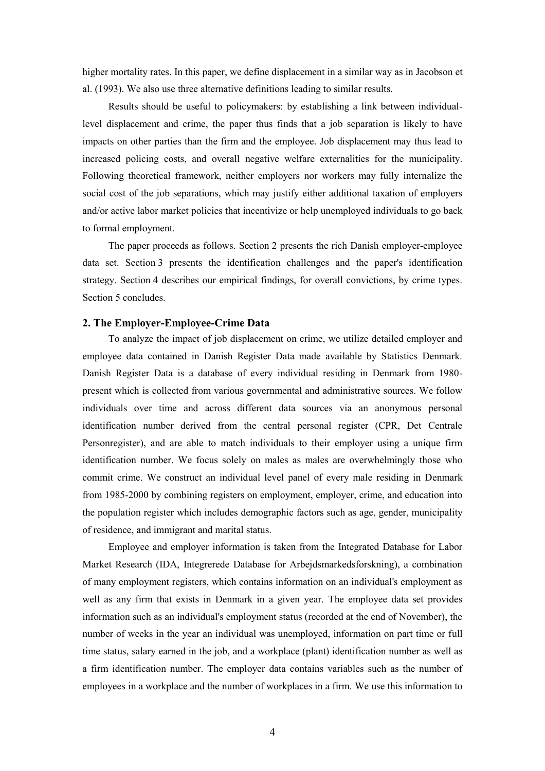higher mortality rates. In this paper, we define displacement in a similar way as in Jacobson et al. (1993). We also use three alternative definitions leading to similar results.

Results should be useful to policymakers: by establishing a link between individuallevel displacement and crime, the paper thus finds that a job separation is likely to have impacts on other parties than the firm and the employee. Job displacement may thus lead to increased policing costs, and overall negative welfare externalities for the municipality. Following theoretical framework, neither employers nor workers may fully internalize the social cost of the job separations, which may justify either additional taxation of employers and/or active labor market policies that incentivize or help unemployed individuals to go back to formal employment.

The paper proceeds as follows. Section 2 presents the rich Danish employer-employee data set. Section 3 presents the identification challenges and the paper's identification strategy. Section 4 describes our empirical findings, for overall convictions, by crime types. Section 5 concludes.

#### **2. The Employer-Employee-Crime Data**

To analyze the impact of job displacement on crime, we utilize detailed employer and employee data contained in Danish Register Data made available by Statistics Denmark. Danish Register Data is a database of every individual residing in Denmark from 1980 present which is collected from various governmental and administrative sources. We follow individuals over time and across different data sources via an anonymous personal identification number derived from the central personal register (CPR, Det Centrale Personregister), and are able to match individuals to their employer using a unique firm identification number. We focus solely on males as males are overwhelmingly those who commit crime. We construct an individual level panel of every male residing in Denmark from 1985-2000 by combining registers on employment, employer, crime, and education into the population register which includes demographic factors such as age, gender, municipality of residence, and immigrant and marital status.

Employee and employer information is taken from the Integrated Database for Labor Market Research (IDA, Integrerede Database for Arbejdsmarkedsforskning), a combination of many employment registers, which contains information on an individual's employment as well as any firm that exists in Denmark in a given year. The employee data set provides information such as an individual's employment status (recorded at the end of November), the number of weeks in the year an individual was unemployed, information on part time or full time status, salary earned in the job, and a workplace (plant) identification number as well as a firm identification number. The employer data contains variables such as the number of employees in a workplace and the number of workplaces in a firm. We use this information to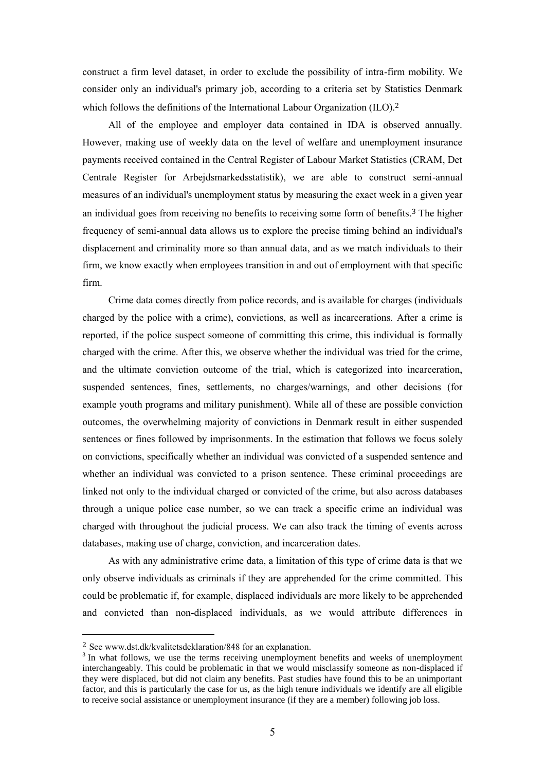construct a firm level dataset, in order to exclude the possibility of intra-firm mobility. We consider only an individual's primary job, according to a criteria set by Statistics Denmark which follows the definitions of the International Labour Organization (ILO).<sup>2</sup>

All of the employee and employer data contained in IDA is observed annually. However, making use of weekly data on the level of welfare and unemployment insurance payments received contained in the Central Register of Labour Market Statistics (CRAM, Det Centrale Register for Arbejdsmarkedsstatistik), we are able to construct semi-annual measures of an individual's unemployment status by measuring the exact week in a given year an individual goes from receiving no benefits to receiving some form of benefits. <sup>3</sup> The higher frequency of semi-annual data allows us to explore the precise timing behind an individual's displacement and criminality more so than annual data, and as we match individuals to their firm, we know exactly when employees transition in and out of employment with that specific firm.

Crime data comes directly from police records, and is available for charges (individuals charged by the police with a crime), convictions, as well as incarcerations. After a crime is reported, if the police suspect someone of committing this crime, this individual is formally charged with the crime. After this, we observe whether the individual was tried for the crime, and the ultimate conviction outcome of the trial, which is categorized into incarceration, suspended sentences, fines, settlements, no charges/warnings, and other decisions (for example youth programs and military punishment). While all of these are possible conviction outcomes, the overwhelming majority of convictions in Denmark result in either suspended sentences or fines followed by imprisonments. In the estimation that follows we focus solely on convictions, specifically whether an individual was convicted of a suspended sentence and whether an individual was convicted to a prison sentence. These criminal proceedings are linked not only to the individual charged or convicted of the crime, but also across databases through a unique police case number, so we can track a specific crime an individual was charged with throughout the judicial process. We can also track the timing of events across databases, making use of charge, conviction, and incarceration dates.

As with any administrative crime data, a limitation of this type of crime data is that we only observe individuals as criminals if they are apprehended for the crime committed. This could be problematic if, for example, displaced individuals are more likely to be apprehended and convicted than non-displaced individuals, as we would attribute differences in

<sup>2</sup> See www.dst.dk/kvalitetsdeklaration/848 for an explanation.

 $3$  In what follows, we use the terms receiving unemployment benefits and weeks of unemployment interchangeably. This could be problematic in that we would misclassify someone as non-displaced if they were displaced, but did not claim any benefits. Past studies have found this to be an unimportant factor, and this is particularly the case for us, as the high tenure individuals we identify are all eligible to receive social assistance or unemployment insurance (if they are a member) following job loss.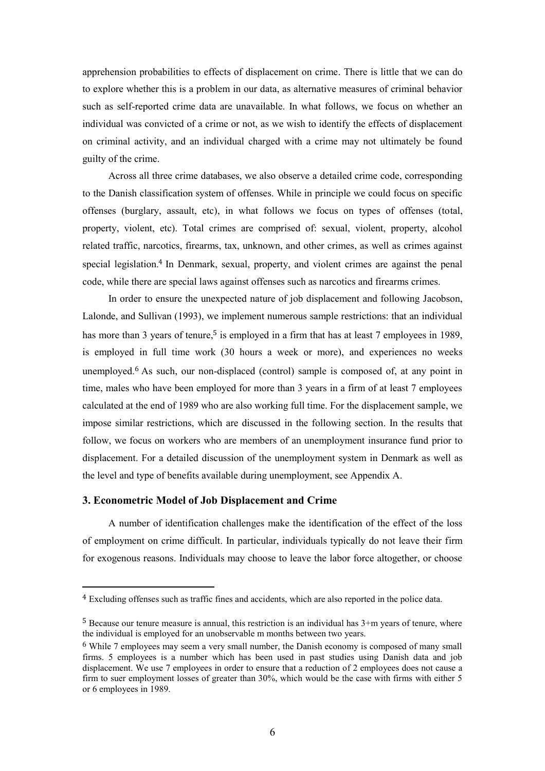apprehension probabilities to effects of displacement on crime. There is little that we can do to explore whether this is a problem in our data, as alternative measures of criminal behavior such as self-reported crime data are unavailable. In what follows, we focus on whether an individual was convicted of a crime or not, as we wish to identify the effects of displacement on criminal activity, and an individual charged with a crime may not ultimately be found guilty of the crime.

Across all three crime databases, we also observe a detailed crime code, corresponding to the Danish classification system of offenses. While in principle we could focus on specific offenses (burglary, assault, etc), in what follows we focus on types of offenses (total, property, violent, etc). Total crimes are comprised of: sexual, violent, property, alcohol related traffic, narcotics, firearms, tax, unknown, and other crimes, as well as crimes against special legislation.<sup>4</sup> In Denmark, sexual, property, and violent crimes are against the penal code, while there are special laws against offenses such as narcotics and firearms crimes.

In order to ensure the unexpected nature of job displacement and following Jacobson, Lalonde, and Sullivan (1993), we implement numerous sample restrictions: that an individual has more than 3 years of tenure,<sup>5</sup> is employed in a firm that has at least 7 employees in 1989, is employed in full time work (30 hours a week or more), and experiences no weeks unemployed.<sup>6</sup> As such, our non-displaced (control) sample is composed of, at any point in time, males who have been employed for more than 3 years in a firm of at least 7 employees calculated at the end of 1989 who are also working full time. For the displacement sample, we impose similar restrictions, which are discussed in the following section. In the results that follow, we focus on workers who are members of an unemployment insurance fund prior to displacement. For a detailed discussion of the unemployment system in Denmark as well as the level and type of benefits available during unemployment, see Appendix A.

### **3. Econometric Model of Job Displacement and Crime**

 $\overline{a}$ 

A number of identification challenges make the identification of the effect of the loss of employment on crime difficult. In particular, individuals typically do not leave their firm for exogenous reasons. Individuals may choose to leave the labor force altogether, or choose

<sup>4</sup> Excluding offenses such as traffic fines and accidents, which are also reported in the police data.

<sup>5</sup> Because our tenure measure is annual, this restriction is an individual has 3+m years of tenure, where the individual is employed for an unobservable m months between two years.

<sup>6</sup> While 7 employees may seem a very small number, the Danish economy is composed of many small firms. 5 employees is a number which has been used in past studies using Danish data and job displacement. We use 7 employees in order to ensure that a reduction of 2 employees does not cause a firm to suer employment losses of greater than 30%, which would be the case with firms with either 5 or 6 employees in 1989.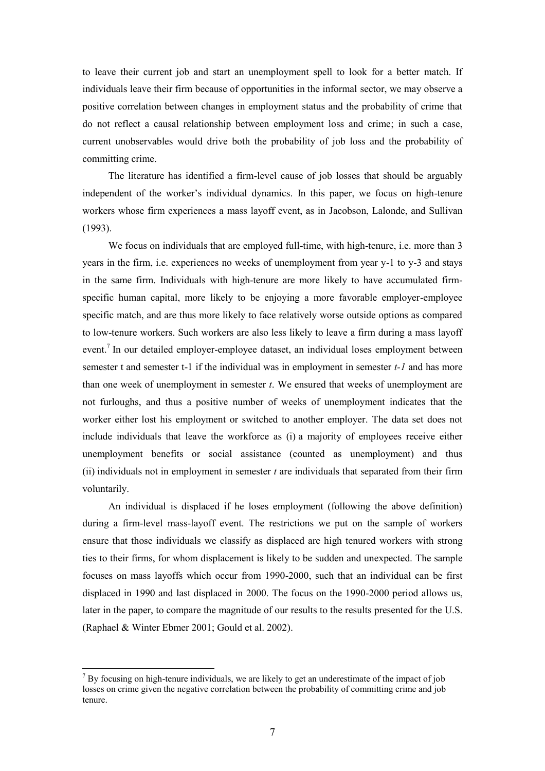to leave their current job and start an unemployment spell to look for a better match. If individuals leave their firm because of opportunities in the informal sector, we may observe a positive correlation between changes in employment status and the probability of crime that do not reflect a causal relationship between employment loss and crime; in such a case, current unobservables would drive both the probability of job loss and the probability of committing crime.

The literature has identified a firm-level cause of job losses that should be arguably independent of the worker's individual dynamics. In this paper, we focus on high-tenure workers whose firm experiences a mass layoff event, as in Jacobson, Lalonde, and Sullivan (1993).

We focus on individuals that are employed full-time, with high-tenure, i.e. more than 3 years in the firm, i.e. experiences no weeks of unemployment from year y-1 to y-3 and stays in the same firm. Individuals with high-tenure are more likely to have accumulated firmspecific human capital, more likely to be enjoying a more favorable employer-employee specific match, and are thus more likely to face relatively worse outside options as compared to low-tenure workers. Such workers are also less likely to leave a firm during a mass layoff event.<sup>7</sup> In our detailed employer-employee dataset, an individual loses employment between semester t and semester t-1 if the individual was in employment in semester *t-1* and has more than one week of unemployment in semester *t*. We ensured that weeks of unemployment are not furloughs, and thus a positive number of weeks of unemployment indicates that the worker either lost his employment or switched to another employer. The data set does not include individuals that leave the workforce as (i) a majority of employees receive either unemployment benefits or social assistance (counted as unemployment) and thus (ii) individuals not in employment in semester *t* are individuals that separated from their firm voluntarily.

An individual is displaced if he loses employment (following the above definition) during a firm-level mass-layoff event. The restrictions we put on the sample of workers ensure that those individuals we classify as displaced are high tenured workers with strong ties to their firms, for whom displacement is likely to be sudden and unexpected. The sample focuses on mass layoffs which occur from 1990-2000, such that an individual can be first displaced in 1990 and last displaced in 2000. The focus on the 1990-2000 period allows us, later in the paper, to compare the magnitude of our results to the results presented for the U.S. (Raphael & Winter Ebmer 2001; Gould et al. 2002).

 $<sup>7</sup>$  By focusing on high-tenure individuals, we are likely to get an underestimate of the impact of job</sup> losses on crime given the negative correlation between the probability of committing crime and job tenure.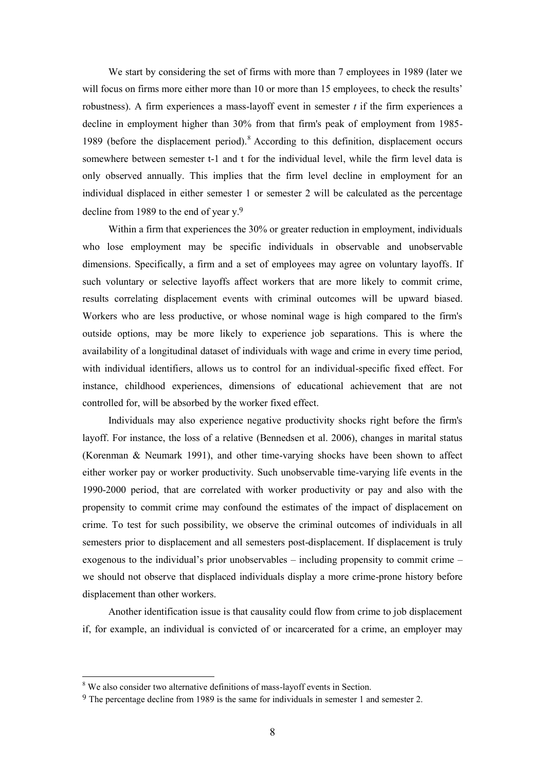We start by considering the set of firms with more than 7 employees in 1989 (later we will focus on firms more either more than 10 or more than 15 employees, to check the results' robustness). A firm experiences a mass-layoff event in semester *t* if the firm experiences a decline in employment higher than 30% from that firm's peak of employment from 1985- 1989 (before the displacement period).<sup>8</sup> According to this definition, displacement occurs somewhere between semester t-1 and t for the individual level, while the firm level data is only observed annually. This implies that the firm level decline in employment for an individual displaced in either semester 1 or semester 2 will be calculated as the percentage decline from 1989 to the end of year y.<sup>9</sup>

Within a firm that experiences the 30% or greater reduction in employment, individuals who lose employment may be specific individuals in observable and unobservable dimensions. Specifically, a firm and a set of employees may agree on voluntary layoffs. If such voluntary or selective layoffs affect workers that are more likely to commit crime, results correlating displacement events with criminal outcomes will be upward biased. Workers who are less productive, or whose nominal wage is high compared to the firm's outside options, may be more likely to experience job separations. This is where the availability of a longitudinal dataset of individuals with wage and crime in every time period, with individual identifiers, allows us to control for an individual-specific fixed effect. For instance, childhood experiences, dimensions of educational achievement that are not controlled for, will be absorbed by the worker fixed effect.

Individuals may also experience negative productivity shocks right before the firm's layoff. For instance, the loss of a relative (Bennedsen et al. 2006), changes in marital status (Korenman & Neumark 1991), and other time-varying shocks have been shown to affect either worker pay or worker productivity. Such unobservable time-varying life events in the 1990-2000 period, that are correlated with worker productivity or pay and also with the propensity to commit crime may confound the estimates of the impact of displacement on crime. To test for such possibility, we observe the criminal outcomes of individuals in all semesters prior to displacement and all semesters post-displacement. If displacement is truly exogenous to the individual's prior unobservables – including propensity to commit crime – we should not observe that displaced individuals display a more crime-prone history before displacement than other workers.

Another identification issue is that causality could flow from crime to job displacement if, for example, an individual is convicted of or incarcerated for a crime, an employer may

<sup>&</sup>lt;sup>8</sup> We also consider two alternative definitions of mass-layoff events in Section.

<sup>9</sup> The percentage decline from 1989 is the same for individuals in semester 1 and semester 2.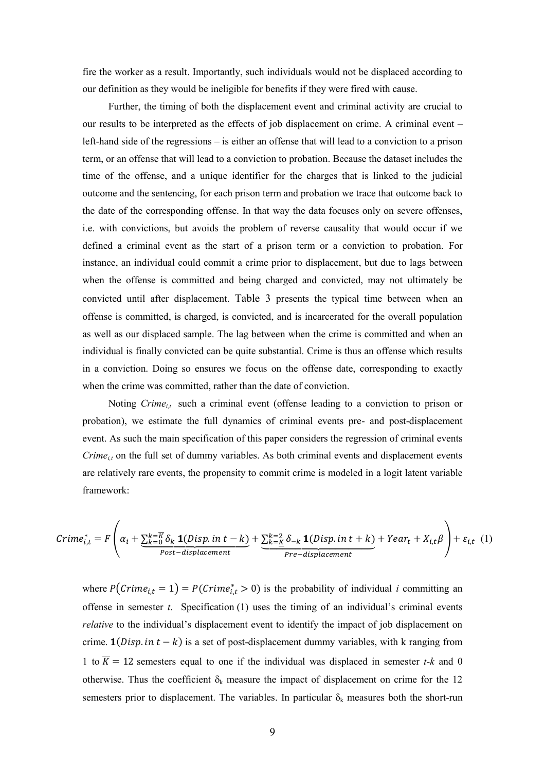fire the worker as a result. Importantly, such individuals would not be displaced according to our definition as they would be ineligible for benefits if they were fired with cause.

Further, the timing of both the displacement event and criminal activity are crucial to our results to be interpreted as the effects of job displacement on crime. A criminal event – left-hand side of the regressions – is either an offense that will lead to a conviction to a prison term, or an offense that will lead to a conviction to probation. Because the dataset includes the time of the offense, and a unique identifier for the charges that is linked to the judicial outcome and the sentencing, for each prison term and probation we trace that outcome back to the date of the corresponding offense. In that way the data focuses only on severe offenses, i.e. with convictions, but avoids the problem of reverse causality that would occur if we defined a criminal event as the start of a prison term or a conviction to probation. For instance, an individual could commit a crime prior to displacement, but due to lags between when the offense is committed and being charged and convicted, may not ultimately be convicted until after displacement. [Table 3](#page-17-0) presents the typical time between when an offense is committed, is charged, is convicted, and is incarcerated for the overall population as well as our displaced sample. The lag between when the crime is committed and when an individual is finally convicted can be quite substantial. Crime is thus an offense which results in a conviction. Doing so ensures we focus on the offense date, corresponding to exactly when the crime was committed, rather than the date of conviction.

Noting *Crime*<sub>it</sub> such a criminal event (offense leading to a conviction to prison or probation), we estimate the full dynamics of criminal events pre- and post-displacement event. As such the main specification of this paper considers the regression of criminal events *Crime<sub>it</sub>* on the full set of dummy variables. As both criminal events and displacement events are relatively rare events, the propensity to commit crime is modeled in a logit latent variable framework:

$$
Crime_{i,t}^{*} = F\left(\alpha_{i} + \underbrace{\sum_{k=0}^{k=\overline{K}} \delta_{k} \mathbf{1}(Disp.in t - k)}_{Post-displacement} + \underbrace{\sum_{k=\underline{K}}^{k=2} \delta_{-k} \mathbf{1}(Disp.in t + k)}_{Pre-displacement} + Year_{t} + X_{i,t}\beta\right) + \varepsilon_{i,t} \quad (1)
$$

where  $P(Crim_{i,t} = 1) = P(Crim_{i,t} > 0)$  is the probability of individual *i* committing an offense in semester  $t$ . Specification  $(1)$  uses the timing of an individual's criminal events *relative* to the individual's displacement event to identify the impact of job displacement on crime.  $\mathbf{1}(Disp.in t - k)$  is a set of post-displacement dummy variables, with k ranging from 1 to  $\overline{K} = 12$  semesters equal to one if the individual was displaced in semester *t*-*k* and 0 otherwise. Thus the coefficient  $\delta_k$  measure the impact of displacement on crime for the 12 semesters prior to displacement. The variables. In particular  $\delta_k$  measures both the short-run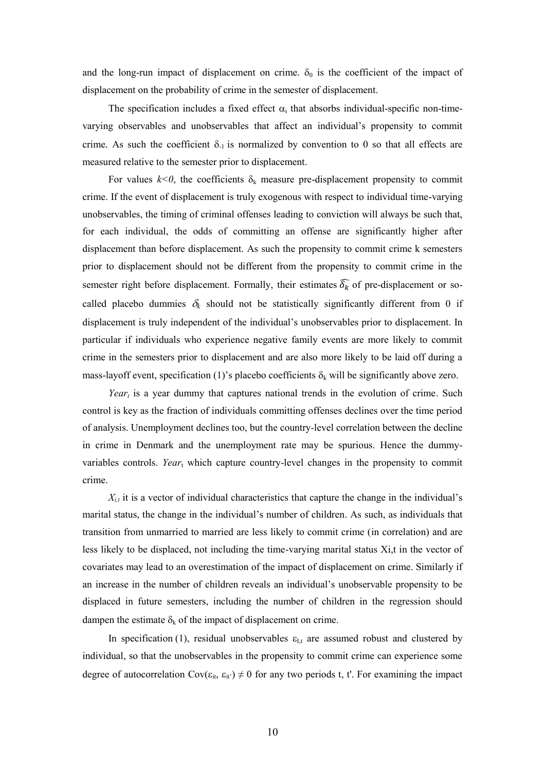and the long-run impact of displacement on crime.  $\delta_0$  is the coefficient of the impact of displacement on the probability of crime in the semester of displacement.

The specification includes a fixed effect  $\alpha_i$  that absorbs individual-specific non-timevarying observables and unobservables that affect an individual's propensity to commit crime. As such the coefficient  $\delta_{-1}$  is normalized by convention to 0 so that all effects are measured relative to the semester prior to displacement.

For values  $k < 0$ , the coefficients  $\delta_k$  measure pre-displacement propensity to commit crime. If the event of displacement is truly exogenous with respect to individual time-varying unobservables, the timing of criminal offenses leading to conviction will always be such that, for each individual, the odds of committing an offense are significantly higher after displacement than before displacement. As such the propensity to commit crime k semesters prior to displacement should not be different from the propensity to commit crime in the semester right before displacement. Formally, their estimates  $\widehat{\delta_k}$  of pre-displacement or socalled placebo dummies  $\delta_k$  should not be statistically significantly different from 0 if displacement is truly independent of the individual's unobservables prior to displacement. In particular if individuals who experience negative family events are more likely to commit crime in the semesters prior to displacement and are also more likely to be laid off during a mass-layoff event, specification (1)'s placebo coefficients  $\delta_k$  will be significantly above zero.

*Year<sup>t</sup>* is a year dummy that captures national trends in the evolution of crime. Such control is key as the fraction of individuals committing offenses declines over the time period of analysis. Unemployment declines too, but the country-level correlation between the decline in crime in Denmark and the unemployment rate may be spurious. Hence the dummyvariables controls. *Year*<sup>t</sup> which capture country-level changes in the propensity to commit crime.

 $X_{i,t}$  it is a vector of individual characteristics that capture the change in the individual's marital status, the change in the individual's number of children. As such, as individuals that transition from unmarried to married are less likely to commit crime (in correlation) and are less likely to be displaced, not including the time-varying marital status Xi,t in the vector of covariates may lead to an overestimation of the impact of displacement on crime. Similarly if an increase in the number of children reveals an individual's unobservable propensity to be displaced in future semesters, including the number of children in the regression should dampen the estimate  $\delta_k$  of the impact of displacement on crime.

In specification (1), residual unobservables  $\varepsilon_{I,t}$  are assumed robust and clustered by individual, so that the unobservables in the propensity to commit crime can experience some degree of autocorrelation Cov( $\varepsilon_{it}$ ,  $\varepsilon_{it'}$ )  $\neq 0$  for any two periods t, t'. For examining the impact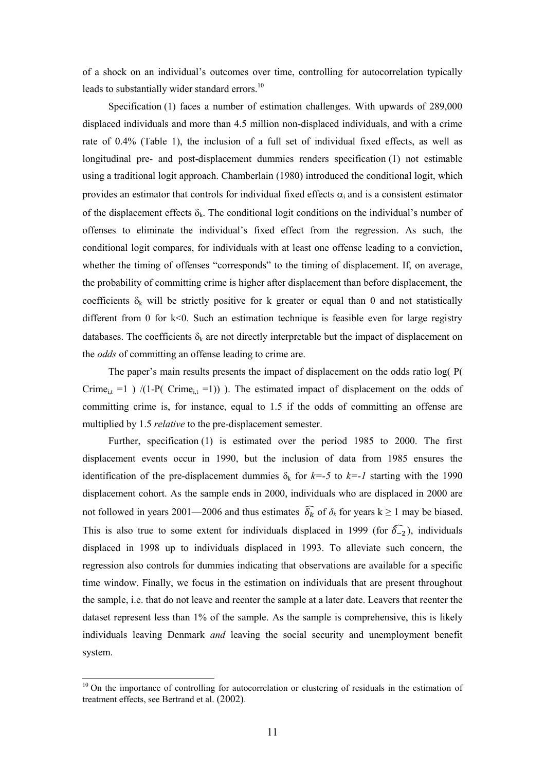of a shock on an individual's outcomes over time, controlling for autocorrelation typically leads to substantially wider standard errors.<sup>10</sup>

Specification (1) faces a number of estimation challenges. With upwards of 289,000 displaced individuals and more than 4.5 million non-displaced individuals, and with a crime rate of 0.4% (Table 1), the inclusion of a full set of individual fixed effects, as well as longitudinal pre- and post-displacement dummies renders specification (1) not estimable using a traditional logit approach. Chamberlain (1980) introduced the conditional logit, which provides an estimator that controls for individual fixed effects  $\alpha_i$  and is a consistent estimator of the displacement effects  $\delta_k$ . The conditional logit conditions on the individual's number of offenses to eliminate the individual's fixed effect from the regression. As such, the conditional logit compares, for individuals with at least one offense leading to a conviction, whether the timing of offenses "corresponds" to the timing of displacement. If, on average, the probability of committing crime is higher after displacement than before displacement, the coefficients  $\delta_k$  will be strictly positive for k greater or equal than 0 and not statistically different from 0 for k<0. Such an estimation technique is feasible even for large registry databases. The coefficients  $\delta_k$  are not directly interpretable but the impact of displacement on the *odds* of committing an offense leading to crime are.

The paper's main results presents the impact of displacement on the odds ratio log( P( Crime<sub>i,t</sub> =1 ) /(1-P( Crime<sub>i,t</sub> =1)) ). The estimated impact of displacement on the odds of committing crime is, for instance, equal to 1.5 if the odds of committing an offense are multiplied by 1.5 *relative* to the pre-displacement semester.

Further, specification (1) is estimated over the period 1985 to 2000. The first displacement events occur in 1990, but the inclusion of data from 1985 ensures the identification of the pre-displacement dummies  $\delta_k$  for  $k=-5$  to  $k=-1$  starting with the 1990 displacement cohort. As the sample ends in 2000, individuals who are displaced in 2000 are not followed in years 2001—2006 and thus estimates  $\widehat{\delta_k}$  of  $\delta_k$  for years k  $\geq 1$  may be biased. This is also true to some extent for individuals displaced in 1999 (for  $\widehat{\delta_{-2}}$ ), individuals displaced in 1998 up to individuals displaced in 1993. To alleviate such concern, the regression also controls for dummies indicating that observations are available for a specific time window. Finally, we focus in the estimation on individuals that are present throughout the sample, i.e. that do not leave and reenter the sample at a later date. Leavers that reenter the dataset represent less than 1% of the sample. As the sample is comprehensive, this is likely individuals leaving Denmark *and* leaving the social security and unemployment benefit system.

 $10$  On the importance of controlling for autocorrelation or clustering of residuals in the estimation of treatment effects, see Bertrand et al. (2002).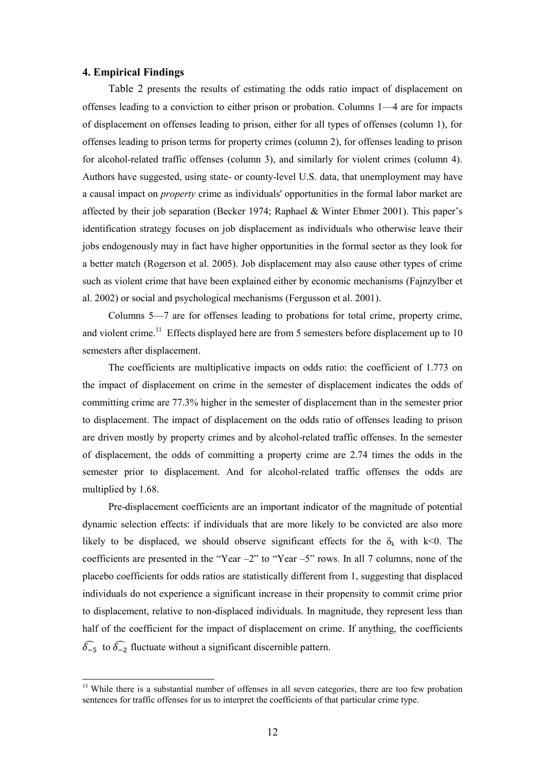### **4. Empirical Findings**

 $\overline{a}$ 

[Table 2](#page-16-0) presents the results of estimating the odds ratio impact of displacement on offenses leading to a conviction to either prison or probation. Columns 1—4 are for impacts of displacement on offenses leading to prison, either for all types of offenses (column 1), for offenses leading to prison terms for property crimes (column 2), for offenses leading to prison for alcohol-related traffic offenses (column 3), and similarly for violent crimes (column 4). Authors have suggested, using state- or county-level U.S. data, that unemployment may have a causal impact on *property* crime as individuals' opportunities in the formal labor market are affected by their job separation (Becker 1974; Raphael & Winter Ebmer 2001). This paper's identification strategy focuses on job displacement as individuals who otherwise leave their jobs endogenously may in fact have higher opportunities in the formal sector as they look for a better match (Rogerson et al. 2005). Job displacement may also cause other types of crime such as violent crime that have been explained either by economic mechanisms (Fajnzylber et al. 2002) or social and psychological mechanisms (Fergusson et al. 2001).

Columns 5—7 are for offenses leading to probations for total crime, property crime, and violent crime.<sup>11</sup> Effects displayed here are from 5 semesters before displacement up to 10 semesters after displacement.

The coefficients are multiplicative impacts on odds ratio: the coefficient of 1.773 on the impact of displacement on crime in the semester of displacement indicates the odds of committing crime are 77.3% higher in the semester of displacement than in the semester prior to displacement. The impact of displacement on the odds ratio of offenses leading to prison are driven mostly by property crimes and by alcohol-related traffic offenses. In the semester of displacement, the odds of committing a property crime are 2.74 times the odds in the semester prior to displacement. And for alcohol-related traffic offenses the odds are multiplied by 1.68.

Pre-displacement coefficients are an important indicator of the magnitude of potential dynamic selection effects: if individuals that are more likely to be convicted are also more likely to be displaced, we should observe significant effects for the  $\delta_k$  with k<0. The coefficients are presented in the "Year –2" to "Year –5" rows. In all 7 columns, none of the placebo coefficients for odds ratios are statistically different from 1, suggesting that displaced individuals do not experience a significant increase in their propensity to commit crime prior to displacement, relative to non-displaced individuals. In magnitude, they represent less than half of the coefficient for the impact of displacement on crime. If anything, the coefficients  $\widehat{\delta_{-5}}$  to  $\widehat{\delta_{-2}}$  fluctuate without a significant discernible pattern.

<sup>&</sup>lt;sup>11</sup> While there is a substantial number of offenses in all seven categories, there are too few probation sentences for traffic offenses for us to interpret the coefficients of that particular crime type.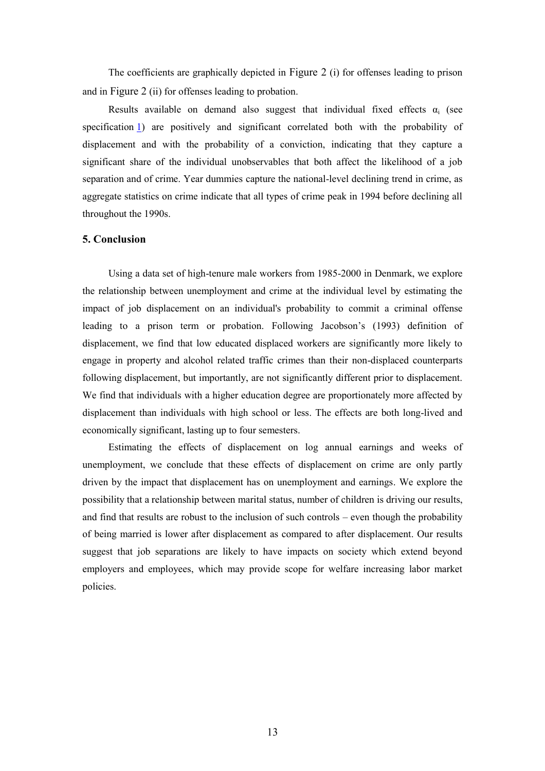The coefficients are graphically depicted in [Figure 2](#page-24-0) (i) for offenses leading to prison and in [Figure 2](#page-24-0) (ii) for offenses leading to probation.

Results available on demand also suggest that individual fixed effects  $\alpha_i$  (see specification 1) are positively and significant correlated both with the probability of displacement and with the probability of a conviction, indicating that they capture a significant share of the individual unobservables that both affect the likelihood of a job separation and of crime. Year dummies capture the national-level declining trend in crime, as aggregate statistics on crime indicate that all types of crime peak in 1994 before declining all throughout the 1990s.

### **5. Conclusion**

Using a data set of high-tenure male workers from 1985-2000 in Denmark, we explore the relationship between unemployment and crime at the individual level by estimating the impact of job displacement on an individual's probability to commit a criminal offense leading to a prison term or probation. Following Jacobson's (1993) definition of displacement, we find that low educated displaced workers are significantly more likely to engage in property and alcohol related traffic crimes than their non-displaced counterparts following displacement, but importantly, are not significantly different prior to displacement. We find that individuals with a higher education degree are proportionately more affected by displacement than individuals with high school or less. The effects are both long-lived and economically significant, lasting up to four semesters.

Estimating the effects of displacement on log annual earnings and weeks of unemployment, we conclude that these effects of displacement on crime are only partly driven by the impact that displacement has on unemployment and earnings. We explore the possibility that a relationship between marital status, number of children is driving our results, and find that results are robust to the inclusion of such controls – even though the probability of being married is lower after displacement as compared to after displacement. Our results suggest that job separations are likely to have impacts on society which extend beyond employers and employees, which may provide scope for welfare increasing labor market policies.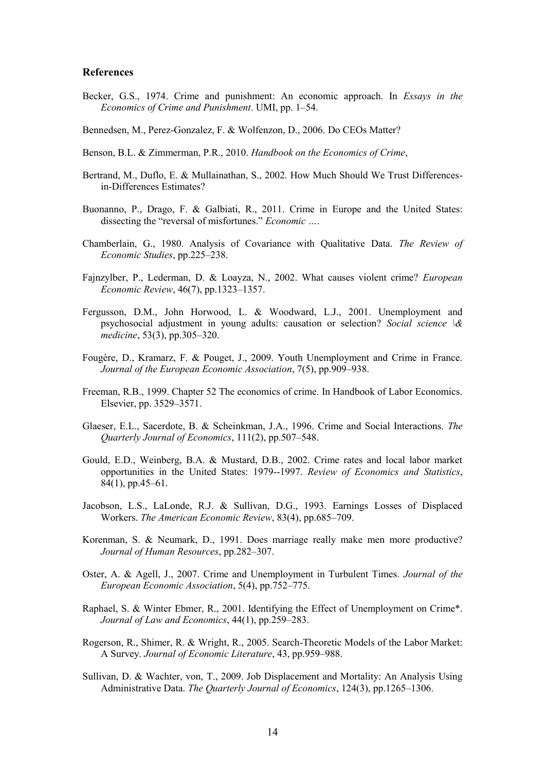### **References**

- Becker, G.S., 1974. Crime and punishment: An economic approach. In *Essays in the Economics of Crime and Punishment*. UMI, pp. 1–54.
- Bennedsen, M., Perez-Gonzalez, F. & Wolfenzon, D., 2006. Do CEOs Matter?
- Benson, B.L. & Zimmerman, P.R., 2010. *Handbook on the Economics of Crime*,
- Bertrand, M., Duflo, E. & Mullainathan, S., 2002. How Much Should We Trust Differencesin-Differences Estimates?
- Buonanno, P., Drago, F. & Galbiati, R., 2011. Crime in Europe and the United States: dissecting the "reversal of misfortunes." *Economic …*.
- Chamberlain, G., 1980. Analysis of Covariance with Qualitative Data. *The Review of Economic Studies*, pp.225–238.
- Fajnzylber, P., Lederman, D. & Loayza, N., 2002. What causes violent crime? *European Economic Review*, 46(7), pp.1323–1357.
- Fergusson, D.M., John Horwood, L. & Woodward, L.J., 2001. Unemployment and psychosocial adjustment in young adults: causation or selection? *Social science \& medicine*, 53(3), pp.305–320.
- Fougère, D., Kramarz, F. & Pouget, J., 2009. Youth Unemployment and Crime in France. *Journal of the European Economic Association*, 7(5), pp.909–938.
- Freeman, R.B., 1999. Chapter 52 The economics of crime. In Handbook of Labor Economics. Elsevier, pp. 3529–3571.
- Glaeser, E.L., Sacerdote, B. & Scheinkman, J.A., 1996. Crime and Social Interactions. *The Quarterly Journal of Economics*, 111(2), pp.507–548.
- Gould, E.D., Weinberg, B.A. & Mustard, D.B., 2002. Crime rates and local labor market opportunities in the United States: 1979--1997. *Review of Economics and Statistics*, 84(1), pp.45–61.
- Jacobson, L.S., LaLonde, R.J. & Sullivan, D.G., 1993. Earnings Losses of Displaced Workers. *The American Economic Review*, 83(4), pp.685–709.
- Korenman, S. & Neumark, D., 1991. Does marriage really make men more productive? *Journal of Human Resources*, pp.282–307.
- Oster, A. & Agell, J., 2007. Crime and Unemployment in Turbulent Times. *Journal of the European Economic Association*, 5(4), pp.752–775.
- Raphael, S. & Winter Ebmer, R., 2001. Identifying the Effect of Unemployment on Crime\*. *Journal of Law and Economics*, 44(1), pp.259–283.
- Rogerson, R., Shimer, R. & Wright, R., 2005. Search-Theoretic Models of the Labor Market: A Survey. *Journal of Economic Literature*, 43, pp.959–988.
- Sullivan, D. & Wachter, von, T., 2009. Job Displacement and Mortality: An Analysis Using Administrative Data. *The Quarterly Journal of Economics*, 124(3), pp.1265–1306.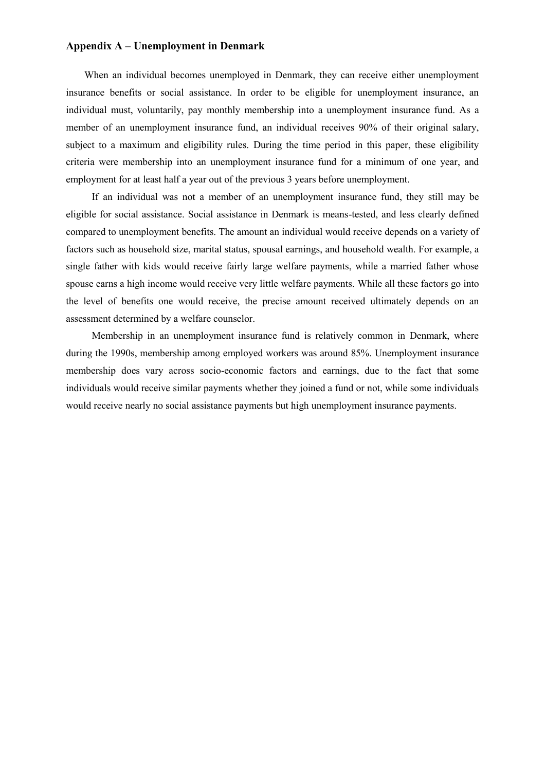## **Appendix A – Unemployment in Denmark**

When an individual becomes unemployed in Denmark, they can receive either unemployment insurance benefits or social assistance. In order to be eligible for unemployment insurance, an individual must, voluntarily, pay monthly membership into a unemployment insurance fund. As a member of an unemployment insurance fund, an individual receives 90% of their original salary, subject to a maximum and eligibility rules. During the time period in this paper, these eligibility criteria were membership into an unemployment insurance fund for a minimum of one year, and employment for at least half a year out of the previous 3 years before unemployment.

If an individual was not a member of an unemployment insurance fund, they still may be eligible for social assistance. Social assistance in Denmark is means-tested, and less clearly defined compared to unemployment benefits. The amount an individual would receive depends on a variety of factors such as household size, marital status, spousal earnings, and household wealth. For example, a single father with kids would receive fairly large welfare payments, while a married father whose spouse earns a high income would receive very little welfare payments. While all these factors go into the level of benefits one would receive, the precise amount received ultimately depends on an assessment determined by a welfare counselor.

Membership in an unemployment insurance fund is relatively common in Denmark, where during the 1990s, membership among employed workers was around 85%. Unemployment insurance membership does vary across socio-economic factors and earnings, due to the fact that some individuals would receive similar payments whether they joined a fund or not, while some individuals would receive nearly no social assistance payments but high unemployment insurance payments.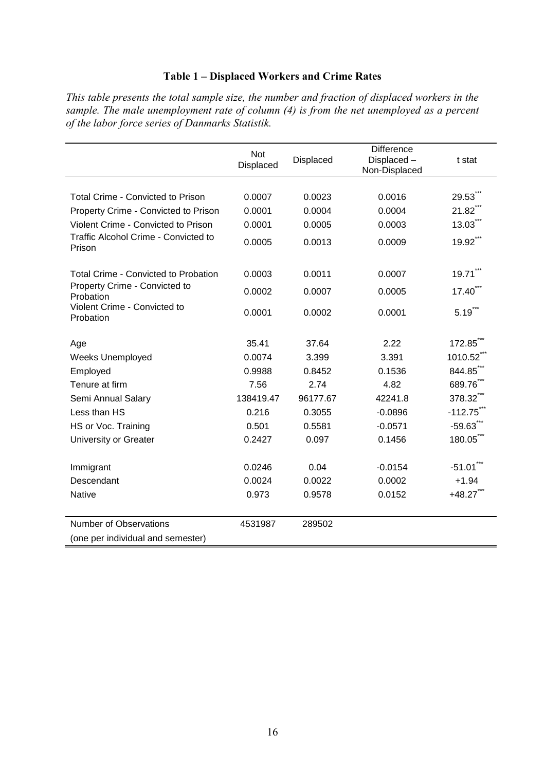# **Table 1 – Displaced Workers and Crime Rates**

*This table presents the total sample size, the number and fraction of displaced workers in the sample. The male unemployment rate of column (4) is from the net unemployed as a percent of the labor force series of Danmarks Statistik.*

| Not<br>Displaced | Displaced | <b>Difference</b><br>Displaced-<br>Non-Displaced | t stat                |
|------------------|-----------|--------------------------------------------------|-----------------------|
|                  |           |                                                  |                       |
| 0.0007           | 0.0023    | 0.0016                                           | 29.53                 |
| 0.0001           | 0.0004    | 0.0004                                           | 21.82                 |
| 0.0001           | 0.0005    | 0.0003                                           | $13.03$ <sup>"</sup>  |
| 0.0005           | 0.0013    | 0.0009                                           | 19.92***              |
| 0.0003           | 0.0011    | 0.0007                                           | $19.71$ <sup>**</sup> |
| 0.0002           | 0.0007    | 0.0005                                           | 17.40                 |
| 0.0001           | 0.0002    | 0.0001                                           | $5.19$ ***            |
| 35.41            | 37.64     | 2.22                                             | $172.85^{\degree}$    |
| 0.0074           | 3.399     | 3.391                                            | 1010.52               |
| 0.9988           | 0.8452    | 0.1536                                           | 844.85                |
| 7.56             | 2.74      | 4.82                                             | 689.76                |
| 138419.47        | 96177.67  | 42241.8                                          | 378.32                |
| 0.216            | 0.3055    | $-0.0896$                                        | $-112.75$             |
| 0.501            | 0.5581    | $-0.0571$                                        | $-59.63$              |
| 0.2427           | 0.097     | 0.1456                                           | 180.05                |
| 0.0246           | 0.04      | $-0.0154$                                        | $-51.01$ <sup>*</sup> |
| 0.0024           | 0.0022    | 0.0002                                           | $+1.94$               |
| 0.973            | 0.9578    | 0.0152                                           | $+48.27$              |
|                  |           |                                                  |                       |
|                  |           |                                                  |                       |
|                  | 4531987   | 289502                                           |                       |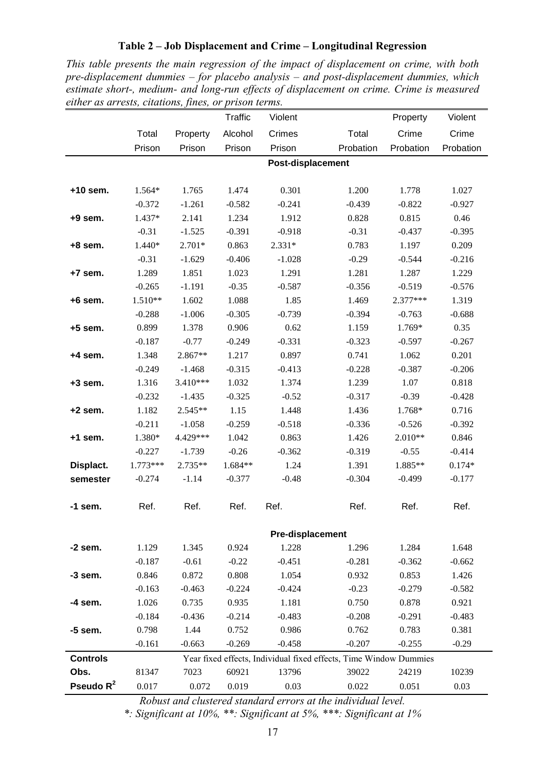## **Table 2 – Job Displacement and Crime – Longitudinal Regression**

<span id="page-16-0"></span>*This table presents the main regression of the impact of displacement on crime, with both pre-displacement dummies – for placebo analysis – and post-displacement dummies, which estimate short-, medium- and long-run effects of displacement on crime. Crime is measured either as arrests, citations, fines, or prison terms.*

|                 |           |            | <b>Traffic</b> | Violent           |                                                                   | Property  | Violent   |
|-----------------|-----------|------------|----------------|-------------------|-------------------------------------------------------------------|-----------|-----------|
|                 | Total     | Property   | Alcohol        | Crimes            | Total                                                             | Crime     | Crime     |
|                 | Prison    | Prison     | Prison         | Prison            | Probation                                                         | Probation | Probation |
|                 |           |            |                | Post-displacement |                                                                   |           |           |
|                 |           |            |                |                   |                                                                   |           |           |
| $+10$ sem.      | 1.564*    | 1.765      | 1.474          | 0.301             | 1.200                                                             | 1.778     | 1.027     |
|                 | $-0.372$  | $-1.261$   | $-0.582$       | $-0.241$          | $-0.439$                                                          | $-0.822$  | $-0.927$  |
| $+9$ sem.       | 1.437*    | 2.141      | 1.234          | 1.912             | 0.828                                                             | 0.815     | 0.46      |
|                 | $-0.31$   | $-1.525$   | $-0.391$       | $-0.918$          | $-0.31$                                                           | $-0.437$  | $-0.395$  |
| $+8$ sem.       | 1.440*    | $2.701*$   | 0.863          | $2.331*$          | 0.783                                                             | 1.197     | 0.209     |
|                 | $-0.31$   | $-1.629$   | $-0.406$       | $-1.028$          | $-0.29$                                                           | $-0.544$  | $-0.216$  |
| +7 sem.         | 1.289     | 1.851      | 1.023          | 1.291             | 1.281                                                             | 1.287     | 1.229     |
|                 | $-0.265$  | $-1.191$   | $-0.35$        | $-0.587$          | $-0.356$                                                          | $-0.519$  | $-0.576$  |
| $+6$ sem.       | $1.510**$ | 1.602      | 1.088          | 1.85              | 1.469                                                             | 2.377***  | 1.319     |
|                 | $-0.288$  | $-1.006$   | $-0.305$       | $-0.739$          | $-0.394$                                                          | $-0.763$  | $-0.688$  |
| $+5$ sem.       | 0.899     | 1.378      | 0.906          | 0.62              | 1.159                                                             | $1.769*$  | 0.35      |
|                 | $-0.187$  | $-0.77$    | $-0.249$       | $-0.331$          | $-0.323$                                                          | $-0.597$  | $-0.267$  |
| $+4$ sem.       | 1.348     | 2.867**    | 1.217          | 0.897             | 0.741                                                             | 1.062     | 0.201     |
|                 | $-0.249$  | $-1.468$   | $-0.315$       | $-0.413$          | $-0.228$                                                          | $-0.387$  | $-0.206$  |
| $+3$ sem.       | 1.316     | $3.410***$ | 1.032          | 1.374             | 1.239                                                             | 1.07      | 0.818     |
|                 | $-0.232$  | $-1.435$   | $-0.325$       | $-0.52$           | $-0.317$                                                          | $-0.39$   | $-0.428$  |
| $+2$ sem.       | 1.182     | 2.545**    | 1.15           | 1.448             | 1.436                                                             | 1.768*    | 0.716     |
|                 | $-0.211$  | $-1.058$   | $-0.259$       | $-0.518$          | $-0.336$                                                          | $-0.526$  | $-0.392$  |
| $+1$ sem.       | 1.380*    | 4.429***   | 1.042          | 0.863             | 1.426                                                             | $2.010**$ | 0.846     |
|                 | $-0.227$  | $-1.739$   | $-0.26$        | $-0.362$          | $-0.319$                                                          | $-0.55$   | $-0.414$  |
| Displact.       | 1.773***  | 2.735**    | 1.684**        | 1.24              | 1.391                                                             | 1.885**   | $0.174*$  |
| semester        | $-0.274$  | $-1.14$    | $-0.377$       | $-0.48$           | $-0.304$                                                          | $-0.499$  | $-0.177$  |
|                 |           |            |                |                   |                                                                   |           |           |
| $-1$ sem.       | Ref.      | Ref.       | Ref.           | Ref.              | Ref.                                                              | Ref.      | Ref.      |
|                 |           |            |                | Pre-displacement  |                                                                   |           |           |
| $-2$ sem.       | 1.129     | 1.345      | 0.924          | 1.228             | 1.296                                                             | 1.284     | 1.648     |
|                 | $-0.187$  | $-0.61$    | $-0.22$        | $-0.451$          | $-0.281$                                                          | $-0.362$  | $-0.662$  |
| -3 sem.         | 0.846     | 0.872      | 0.808          | 1.054             | 0.932                                                             | 0.853     | 1.426     |
|                 | $-0.163$  | $-0.463$   | $-0.224$       | $-0.424$          | $-0.23$                                                           | $-0.279$  | $-0.582$  |
| -4 sem.         | 1.026     | 0.735      | 0.935          | 1.181             | 0.750                                                             | 0.878     | 0.921     |
|                 | $-0.184$  | $-0.436$   | $-0.214$       | $-0.483$          | $-0.208$                                                          | $-0.291$  | $-0.483$  |
| -5 sem.         | 0.798     | 1.44       | 0.752          | 0.986             | 0.762                                                             | 0.783     | 0.381     |
|                 | $-0.161$  | $-0.663$   | $-0.269$       | $-0.458$          | $-0.207$                                                          | $-0.255$  | $-0.29$   |
| <b>Controls</b> |           |            |                |                   | Year fixed effects, Individual fixed effects, Time Window Dummies |           |           |
| Obs.            | 81347     | 7023       | 60921          | 13796             | 39022                                                             | 24219     | 10239     |
| Pseudo $R^2$    |           |            |                |                   |                                                                   |           |           |

*Robust and clustered standard errors at the individual level.*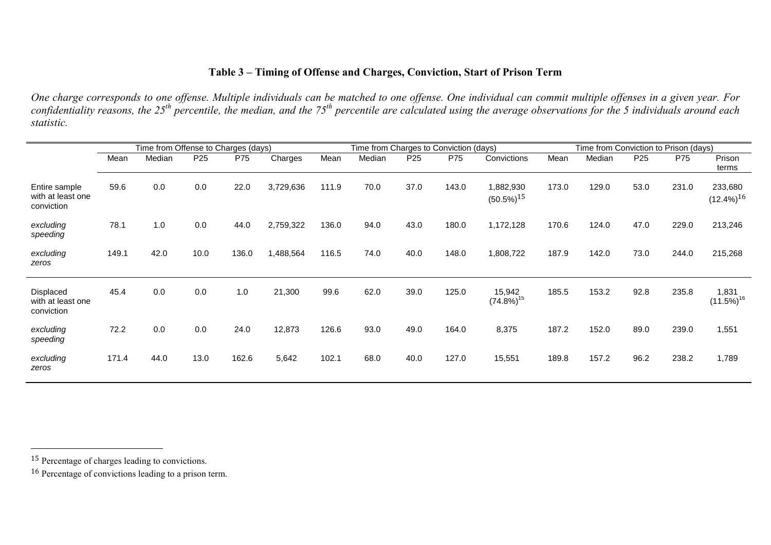# <span id="page-17-2"></span><span id="page-17-1"></span>**Table 3 – Timing of Offense and Charges, Conviction, Start of Prison Term**

*One charge corresponds to one offense. Multiple individuals can be matched to one offense. One individual can commit multiple offenses in a given year. For*  confidentiality reasons, the 25<sup>th</sup> percentile, the median, and the 75<sup>th</sup> percentile are calculated using the average observations for the 5 individuals around each *statistic.*

<span id="page-17-0"></span>

|                                                     | Time from Offense to Charges (days) |        |                 | Time from Charges to Conviction (days) |           |       |        | Time from Conviction to Prison (days) |       |                                       |       |        |                 |       |                            |
|-----------------------------------------------------|-------------------------------------|--------|-----------------|----------------------------------------|-----------|-------|--------|---------------------------------------|-------|---------------------------------------|-------|--------|-----------------|-------|----------------------------|
|                                                     | Mean                                | Median | P <sub>25</sub> | P75                                    | Charges   | Mean  | Median | P <sub>25</sub>                       | P75   | Convictions                           | Mean  | Median | P <sub>25</sub> | P75   | Prison<br>terms            |
| Entire sample<br>with at least one<br>conviction    | 59.6                                | 0.0    | 0.0             | 22.0                                   | 3,729,636 | 111.9 | 70.0   | 37.0                                  | 143.0 | 1,882,930<br>$(50.5\%)$ <sup>15</sup> | 173.0 | 129.0  | 53.0            | 231.0 | 233,680<br>$(12.4\%)^{16}$ |
| excluding<br>speeding                               | 78.1                                | 1.0    | 0.0             | 44.0                                   | 2,759,322 | 136.0 | 94.0   | 43.0                                  | 180.0 | 1,172,128                             | 170.6 | 124.0  | 47.0            | 229.0 | 213,246                    |
| excluding<br>zeros                                  | 149.1                               | 42.0   | 10.0            | 136.0                                  | 1,488,564 | 116.5 | 74.0   | 40.0                                  | 148.0 | 1,808,722                             | 187.9 | 142.0  | 73.0            | 244.0 | 215,268                    |
| <b>Displaced</b><br>with at least one<br>conviction | 45.4                                | 0.0    | 0.0             | 1.0                                    | 21,300    | 99.6  | 62.0   | 39.0                                  | 125.0 | 15,942<br>$(74.8\%)^{15}$             | 185.5 | 153.2  | 92.8            | 235.8 | 1,831<br>$(11.5\%)^{16}$   |
| excluding<br>speeding                               | 72.2                                | 0.0    | 0.0             | 24.0                                   | 12,873    | 126.6 | 93.0   | 49.0                                  | 164.0 | 8,375                                 | 187.2 | 152.0  | 89.0            | 239.0 | 1,551                      |
| excluding<br>zeros                                  | 171.4                               | 44.0   | 13.0            | 162.6                                  | 5,642     | 102.1 | 68.0   | 40.0                                  | 127.0 | 15,551                                | 189.8 | 157.2  | 96.2            | 238.2 | 1,789                      |

<sup>15</sup> Percentage of charges leading to convictions.

<sup>16</sup> Percentage of convictions leading to a prison term.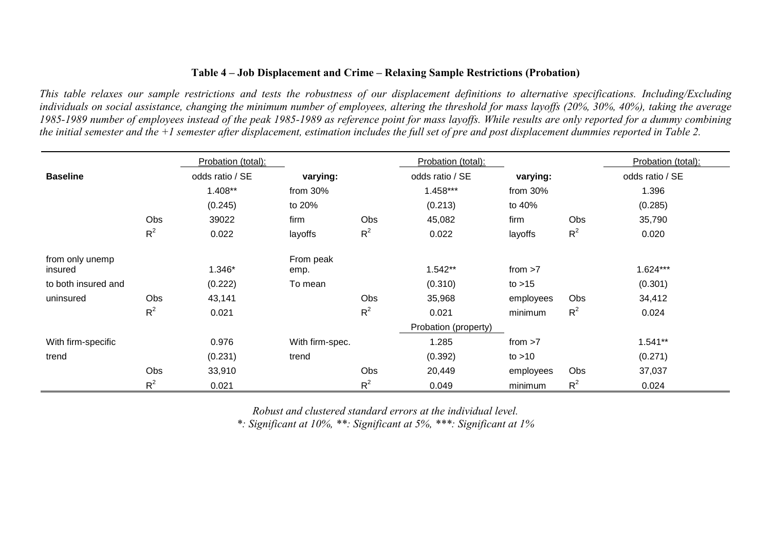## **Table 4 – Job Displacement and Crime – Relaxing Sample Restrictions (Probation)**

*This table relaxes our sample restrictions and tests the robustness of our displacement definitions to alternative specifications. Including/Excluding individuals on social assistance, changing the minimum number of employees, altering the threshold for mass layoffs (20%, 30%, 40%), taking the average 1985-1989 number of employees instead of the peak 1985-1989 as reference point for mass layoffs. While results are only reported for a dummy combining the initial semester and the +1 semester after displacement, estimation includes the full set of pre and post displacement dummies reported in Table 2.*

|                     |       | Probation (total): |                 |       | Probation (total):   |             |       | Probation (total): |
|---------------------|-------|--------------------|-----------------|-------|----------------------|-------------|-------|--------------------|
| <b>Baseline</b>     |       | odds ratio / SE    | varying:        |       | odds ratio / SE      | varying:    |       | odds ratio / SE    |
|                     |       | 1.408**            | from $30\%$     |       | 1.458***             | from $30\%$ |       | 1.396              |
|                     |       | (0.245)            | to 20%          |       | (0.213)              | to 40%      |       | (0.285)            |
|                     | Obs   | 39022              | firm            | Obs   | 45,082               | firm        | Obs   | 35,790             |
|                     | $R^2$ | 0.022              | layoffs         | $R^2$ | 0.022                | layoffs     | $R^2$ | 0.020              |
| from only unemp     |       |                    | From peak       |       |                      |             |       |                    |
| insured             |       | 1.346*             | emp.            |       | 1.542**              | from $>7$   |       | 1.624***           |
| to both insured and |       | (0.222)            | To mean         |       | (0.310)              | to $>15$    |       | (0.301)            |
| uninsured           | Obs   | 43,141             |                 | Obs   | 35,968               | employees   | Obs   | 34,412             |
|                     | $R^2$ | 0.021              |                 | $R^2$ | 0.021                | minimum     | $R^2$ | 0.024              |
|                     |       |                    |                 |       | Probation (property) |             |       |                    |
| With firm-specific  |       | 0.976              | With firm-spec. |       | 1.285                | from $>7$   |       | $1.541**$          |
| trend               |       | (0.231)            | trend           |       | (0.392)              | to $>10$    |       | (0.271)            |
|                     | Obs   | 33,910             |                 | Obs   | 20,449               | employees   | Obs   | 37,037             |
|                     | $R^2$ | 0.021              |                 | $R^2$ | 0.049                | minimum     | $R^2$ | 0.024              |

*Robust and clustered standard errors at the individual level.*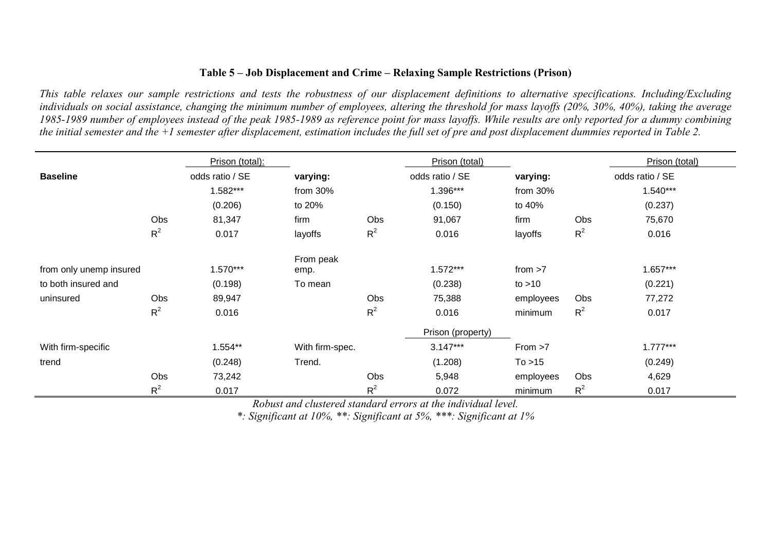# **Table 5 – Job Displacement and Crime – Relaxing Sample Restrictions (Prison)**

*This table relaxes our sample restrictions and tests the robustness of our displacement definitions to alternative specifications. Including/Excluding individuals on social assistance, changing the minimum number of employees, altering the threshold for mass layoffs (20%, 30%, 40%), taking the average 1985-1989 number of employees instead of the peak 1985-1989 as reference point for mass layoffs. While results are only reported for a dummy combining the initial semester and the +1 semester after displacement, estimation includes the full set of pre and post displacement dummies reported in Table 2.* 

|                         |       | Prison (total): |                 |       | Prison (total)    |           |       | Prison (total)  |
|-------------------------|-------|-----------------|-----------------|-------|-------------------|-----------|-------|-----------------|
| <b>Baseline</b>         |       | odds ratio / SE | varying:        |       | odds ratio / SE   | varying:  |       | odds ratio / SE |
|                         |       | 1.582***        | from 30%        |       | 1.396***          | from 30%  |       | $1.540***$      |
|                         |       | (0.206)         | to 20%          |       | (0.150)           | to 40%    |       | (0.237)         |
|                         | Obs   | 81,347          | firm            | Obs   | 91,067            | firm      | Obs   | 75,670          |
|                         | $R^2$ | 0.017           | layoffs         | $R^2$ | 0.016             | layoffs   | $R^2$ | 0.016           |
|                         |       |                 | From peak       |       |                   |           |       |                 |
| from only unemp insured |       | $1.570***$      | emp.            |       | $1.572***$        | from $>7$ |       | $1.657***$      |
| to both insured and     |       | (0.198)         | To mean         |       | (0.238)           | to $>10$  |       | (0.221)         |
| uninsured               | Obs   | 89,947          |                 | Obs   | 75,388            | employees | Obs   | 77,272          |
|                         | $R^2$ | 0.016           |                 | $R^2$ | 0.016             | minimum   | $R^2$ | 0.017           |
|                         |       |                 |                 |       | Prison (property) |           |       |                 |
| With firm-specific      |       | 1.554**         | With firm-spec. |       | $3.147***$        | From >7   |       | $1.777***$      |
| trend                   |       | (0.248)         | Trend.          |       | (1.208)           | To > 15   |       | (0.249)         |
|                         | Obs   | 73,242          |                 | Obs   | 5,948             | employees | Obs   | 4,629           |
|                         | $R^2$ | 0.017           |                 | $R^2$ | 0.072             | minimum   | $R^2$ | 0.017           |

*Robust and clustered standard errors at the individual level.*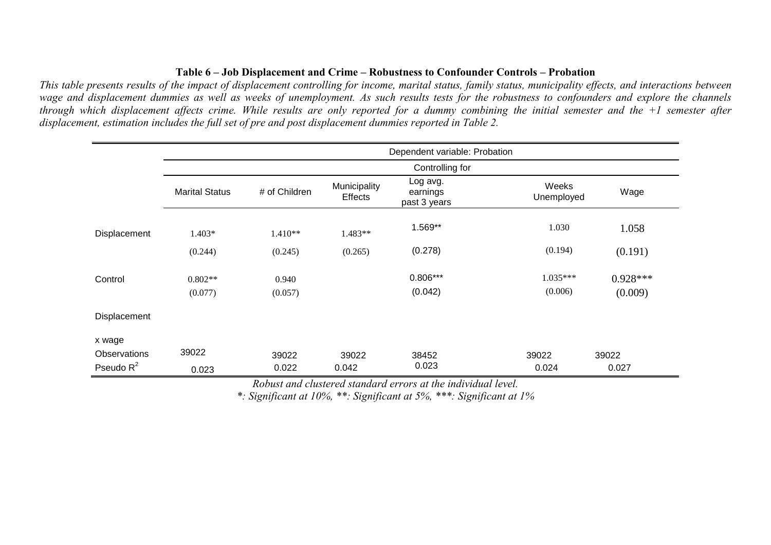# **Table 6 – Job Displacement and Crime – Robustness to Confounder Controls – Probation**

*This table presents results of the impact of displacement controlling for income, marital status, family status, municipality effects, and interactions between wage and displacement dummies as well as weeks of unemployment. As such results tests for the robustness to confounders and explore the channels through which displacement affects crime. While results are only reported for a dummy combining the initial semester and the +1 semester after displacement, estimation includes the full set of pre and post displacement dummies reported in Table 2.*

|                     | Dependent variable: Probation |               |                                |                                      |                     |            |  |  |
|---------------------|-------------------------------|---------------|--------------------------------|--------------------------------------|---------------------|------------|--|--|
|                     | Controlling for               |               |                                |                                      |                     |            |  |  |
|                     | <b>Marital Status</b>         | # of Children | Municipality<br><b>Effects</b> | Log avg.<br>earnings<br>past 3 years | Weeks<br>Unemployed | Wage       |  |  |
| Displacement        | 1.403*                        | 1.410**       | 1.483**                        | 1.569**                              | 1.030               | 1.058      |  |  |
|                     | (0.244)                       | (0.245)       | (0.265)                        | (0.278)                              | (0.194)             | (0.191)    |  |  |
| Control             | $0.802**$                     | 0.940         |                                | $0.806***$                           | $1.035***$          | $0.928***$ |  |  |
|                     | (0.077)                       | (0.057)       |                                | (0.042)                              | (0.006)             | (0.009)    |  |  |
| Displacement        |                               |               |                                |                                      |                     |            |  |  |
| x wage              |                               |               |                                |                                      |                     |            |  |  |
| <b>Observations</b> | 39022                         | 39022         | 39022                          | 38452                                | 39022               | 39022      |  |  |
| Pseudo $R^2$        | 0.023                         | 0.022         | 0.042                          | 0.023                                | 0.024               | 0.027      |  |  |

*Robust and clustered standard errors at the individual level.*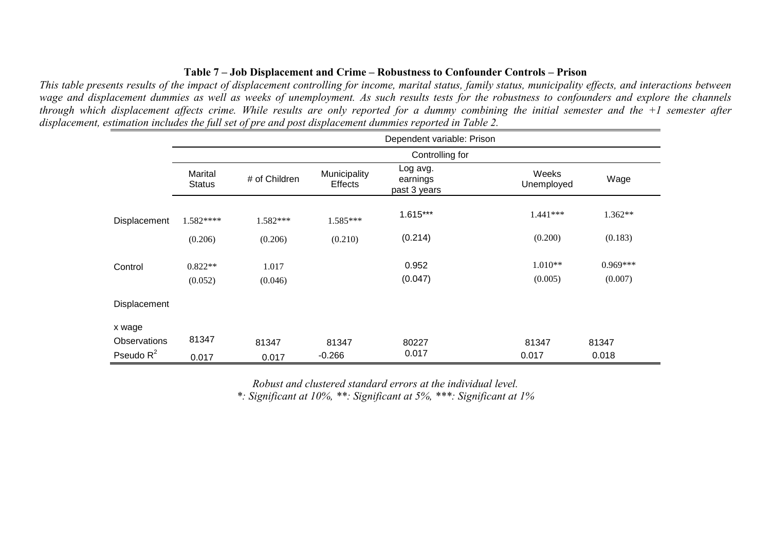## **Table 7 – Job Displacement and Crime – Robustness to Confounder Controls – Prison**

*This table presents results of the impact of displacement controlling for income, marital status, family status, municipality effects, and interactions between wage and displacement dummies as well as weeks of unemployment. As such results tests for the robustness to confounders and explore the channels through which displacement affects crime. While results are only reported for a dummy combining the initial semester and the +1 semester after displacement, estimation includes the full set of pre and post displacement dummies reported in Table 2.*

|                        | Dependent variable: Prison |               |                         |                                      |                     |            |  |  |  |
|------------------------|----------------------------|---------------|-------------------------|--------------------------------------|---------------------|------------|--|--|--|
|                        | Controlling for            |               |                         |                                      |                     |            |  |  |  |
|                        | Marital<br><b>Status</b>   | # of Children | Municipality<br>Effects | Log avg.<br>earnings<br>past 3 years | Weeks<br>Unemployed | Wage       |  |  |  |
| Displacement           | 1.582****                  | 1.582***      | $1.585***$              | $1.615***$                           | $1.441***$          | 1.362**    |  |  |  |
|                        | (0.206)                    | (0.206)       | (0.210)                 | (0.214)                              | (0.200)             | (0.183)    |  |  |  |
| Control                | $0.822**$                  | 1.017         |                         | 0.952                                | $1.010**$           | $0.969***$ |  |  |  |
|                        | (0.052)                    | (0.046)       |                         | (0.047)                              | (0.005)             | (0.007)    |  |  |  |
| Displacement           |                            |               |                         |                                      |                     |            |  |  |  |
| x wage<br>Observations | 81347                      | 81347         | 81347                   | 80227                                | 81347               | 81347      |  |  |  |
| Pseudo $R^2$           | 0.017                      | 0.017         | $-0.266$                | 0.017                                | 0.017               | 0.018      |  |  |  |

*Robust and clustered standard errors at the individual level.*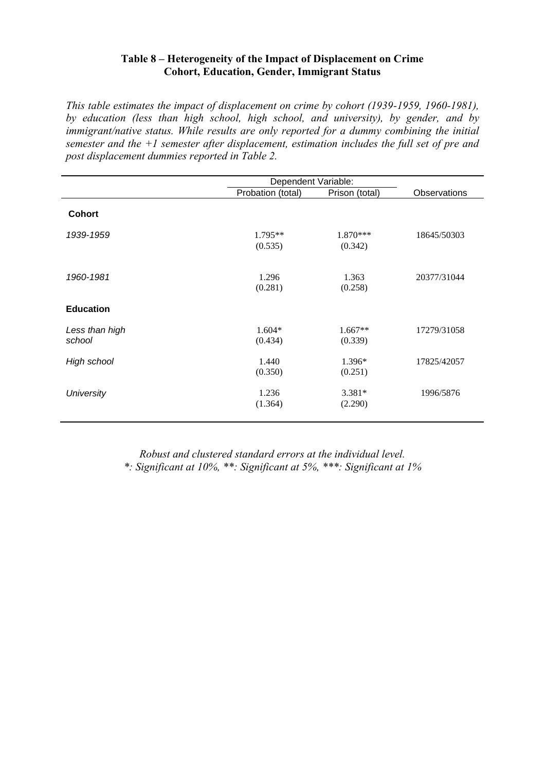# **Table 8 – Heterogeneity of the Impact of Displacement on Crime Cohort, Education, Gender, Immigrant Status**

*This table estimates the impact of displacement on crime by cohort (1939-1959, 1960-1981), by education (less than high school, high school, and university), by gender, and by immigrant/native status. While results are only reported for a dummy combining the initial semester and the +1 semester after displacement, estimation includes the full set of pre and post displacement dummies reported in Table 2.*

|                          |                      | Dependent Variable:   |              |  |  |  |
|--------------------------|----------------------|-----------------------|--------------|--|--|--|
|                          | Probation (total)    | Prison (total)        | Observations |  |  |  |
| <b>Cohort</b>            |                      |                       |              |  |  |  |
| 1939-1959                | $1.795**$<br>(0.535) | $1.870***$<br>(0.342) | 18645/50303  |  |  |  |
| 1960-1981                | 1.296<br>(0.281)     | 1.363<br>(0.258)      | 20377/31044  |  |  |  |
| <b>Education</b>         |                      |                       |              |  |  |  |
| Less than high<br>school | $1.604*$<br>(0.434)  | $1.667**$<br>(0.339)  | 17279/31058  |  |  |  |
| High school              | 1.440<br>(0.350)     | 1.396*<br>(0.251)     | 17825/42057  |  |  |  |
| <b>University</b>        | 1.236<br>(1.364)     | $3.381*$<br>(2.290)   | 1996/5876    |  |  |  |

*Robust and clustered standard errors at the individual level. \*: Significant at 10%, \*\*: Significant at 5%, \*\*\*: Significant at 1%*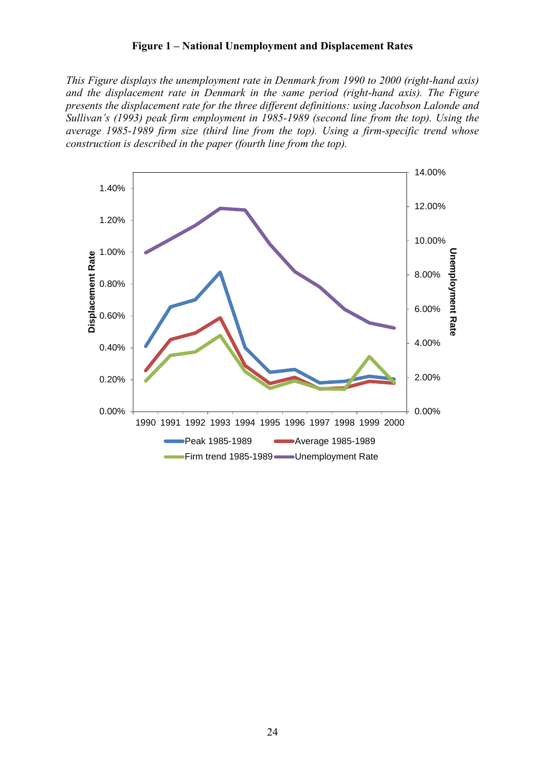## **Figure 1 – National Unemployment and Displacement Rates**

*This Figure displays the unemployment rate in Denmark from 1990 to 2000 (right-hand axis) and the displacement rate in Denmark in the same period (right-hand axis). The Figure presents the displacement rate for the three different definitions: using Jacobson Lalonde and Sullivan's (1993) peak firm employment in 1985-1989 (second line from the top). Using the average 1985-1989 firm size (third line from the top). Using a firm-specific trend whose construction is described in the paper (fourth line from the top).*

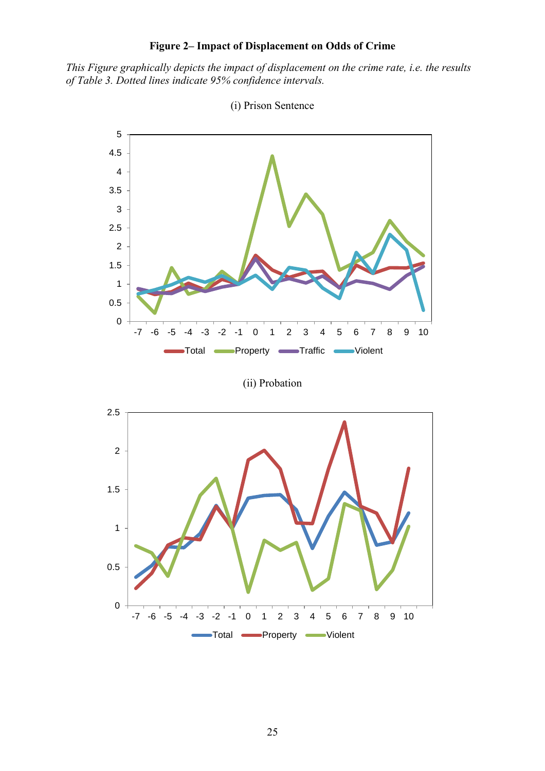# **Figure 2– Impact of Displacement on Odds of Crime**

<span id="page-24-0"></span>*This Figure graphically depicts the impact of displacement on the crime rate, i.e. the results of Table 3. Dotted lines indicate 95% confidence intervals.*



(i) Prison Sentence

(ii) Probation

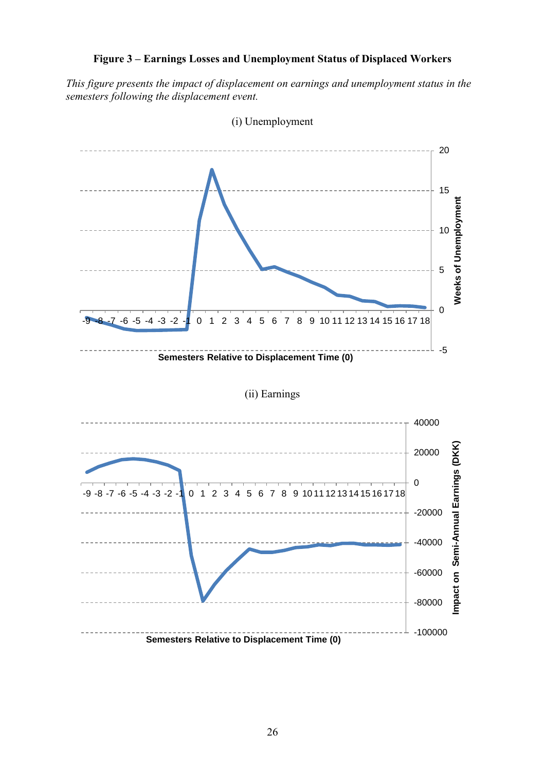# **Figure 3 – Earnings Losses and Unemployment Status of Displaced Workers**

*This figure presents the impact of displacement on earnings and unemployment status in the semesters following the displacement event.*